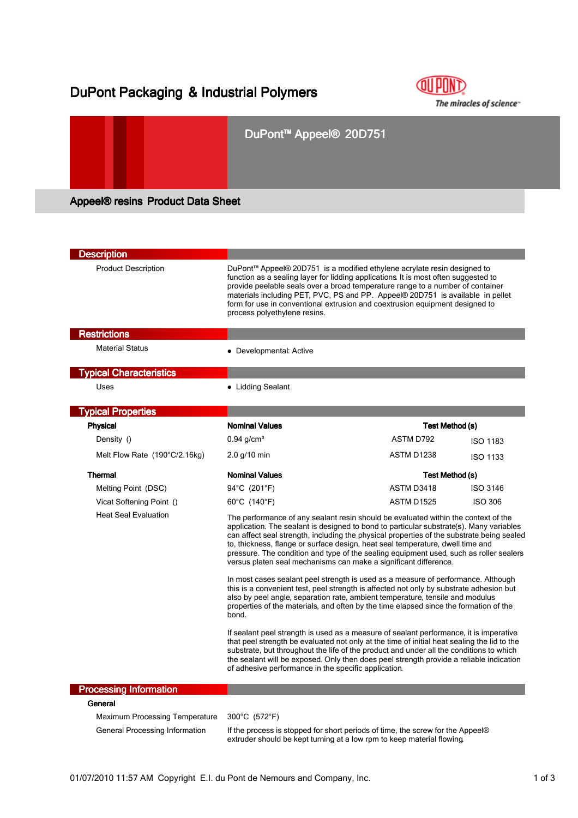# DuPont Packaging & Industrial Polymers



## DuPont™ Appeel® 20D751

Appeel® resins Product Data Sheet

| <b>Description</b>                    |                                                                                                                                                                                                                                                                                                                                                                                                                                                                                                                                                                                                                 |                   |                 |
|---------------------------------------|-----------------------------------------------------------------------------------------------------------------------------------------------------------------------------------------------------------------------------------------------------------------------------------------------------------------------------------------------------------------------------------------------------------------------------------------------------------------------------------------------------------------------------------------------------------------------------------------------------------------|-------------------|-----------------|
| <b>Product Description</b>            | DuPont™ Appeel® 20D751 is a modified ethylene acrylate resin designed to<br>function as a sealing layer for lidding applications It is most often suggested to<br>provide peelable seals over a broad temperature range to a number of container<br>materials including PET, PVC, PS and PP. Appeel® 20D751 is available in pellet<br>form for use in conventional extrusion and coextrusion equipment designed to<br>process polyethylene resins.                                                                                                                                                              |                   |                 |
| <b>Restrictions</b>                   |                                                                                                                                                                                                                                                                                                                                                                                                                                                                                                                                                                                                                 |                   |                 |
| <b>Material Status</b>                | • Developmental: Active                                                                                                                                                                                                                                                                                                                                                                                                                                                                                                                                                                                         |                   |                 |
| <b>Typical Characteristics</b>        |                                                                                                                                                                                                                                                                                                                                                                                                                                                                                                                                                                                                                 |                   |                 |
| Uses                                  | • Lidding Sealant                                                                                                                                                                                                                                                                                                                                                                                                                                                                                                                                                                                               |                   |                 |
| <b>Typical Properties</b>             |                                                                                                                                                                                                                                                                                                                                                                                                                                                                                                                                                                                                                 |                   |                 |
| <b>Physical</b>                       | <b>Nominal Values</b>                                                                                                                                                                                                                                                                                                                                                                                                                                                                                                                                                                                           | Test Method (s)   |                 |
| Density ()                            | $0.94$ g/cm <sup>3</sup>                                                                                                                                                                                                                                                                                                                                                                                                                                                                                                                                                                                        | ASTM D792         | <b>ISO 1183</b> |
| Melt Flow Rate (190°C/2.16kg)         | $2.0$ g/10 min                                                                                                                                                                                                                                                                                                                                                                                                                                                                                                                                                                                                  | ASTM D1238        | <b>ISO 1133</b> |
| <b>Thermal</b>                        | <b>Nominal Values</b>                                                                                                                                                                                                                                                                                                                                                                                                                                                                                                                                                                                           | Test Method (s)   |                 |
| Melting Point (DSC)                   | 94°C (201°F)                                                                                                                                                                                                                                                                                                                                                                                                                                                                                                                                                                                                    | ASTM D3418        | <b>ISO 3146</b> |
| Vicat Softening Point ()              | 60°C (140°F)                                                                                                                                                                                                                                                                                                                                                                                                                                                                                                                                                                                                    | <b>ASTM D1525</b> | <b>ISO 306</b>  |
| <b>Heat Seal Evaluation</b>           | The performance of any sealant resin should be evaluated within the context of the<br>application. The sealant is designed to bond to particular substrate(s). Many variables<br>can affect seal strength, including the physical properties of the substrate being sealed<br>to, thickness, flange or surface design, heat seal temperature, dwell time and<br>pressure. The condition and type of the sealing equipment used, such as roller sealers<br>versus platen seal mechanisms can make a significant difference.<br>In most cases sealant peel strength is used as a measure of performance. Although |                   |                 |
|                                       | this is a convenient test, peel strength is affected not only by substrate adhesion but<br>also by peel angle, separation rate, ambient temperature, tensile and modulus<br>properties of the materials, and often by the time elapsed since the formation of the<br>bond.                                                                                                                                                                                                                                                                                                                                      |                   |                 |
|                                       | If sealant peel strength is used as a measure of sealant performance, it is imperative<br>that peel strength be evaluated not only at the time of initial heat sealing the lid to the<br>substrate, but throughout the life of the product and under all the conditions to which<br>the sealant will be exposed. Only then does peel strength provide a reliable indication<br>of adhesive performance in the specific application.                                                                                                                                                                             |                   |                 |
| <b>Processing Information</b>         |                                                                                                                                                                                                                                                                                                                                                                                                                                                                                                                                                                                                                 |                   |                 |
| General                               |                                                                                                                                                                                                                                                                                                                                                                                                                                                                                                                                                                                                                 |                   |                 |
| <b>Maximum Processing Temperature</b> | 300°C (572°F)                                                                                                                                                                                                                                                                                                                                                                                                                                                                                                                                                                                                   |                   |                 |

General Processing Information If the process is stopped for short periods of time, the screw for the Appeel® extruder should be kept turning at a low rpm to keep material flowing.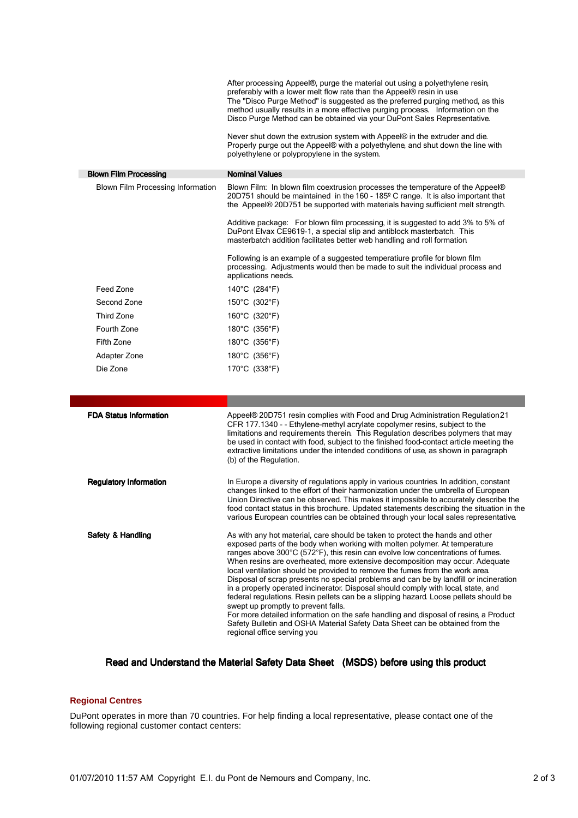|                                   | After processing Appeel®, purge the material out using a polyethylene resin,<br>preferably with a lower melt flow rate than the Appeel® resin in use.<br>The "Disco Purge Method" is suggested as the preferred purging method, as this<br>method usually results in a more effective purging process. Information on the<br>Disco Purge Method can be obtained via your DuPont Sales Representative.<br>Never shut down the extrusion system with Appeel® in the extruder and die.<br>Properly purge out the Appeel® with a polyethylene, and shut down the line with<br>polyethylene or polypropylene in the system. |
|-----------------------------------|------------------------------------------------------------------------------------------------------------------------------------------------------------------------------------------------------------------------------------------------------------------------------------------------------------------------------------------------------------------------------------------------------------------------------------------------------------------------------------------------------------------------------------------------------------------------------------------------------------------------|
| <b>Blown Film Processing</b>      | <b>Nominal Values</b>                                                                                                                                                                                                                                                                                                                                                                                                                                                                                                                                                                                                  |
| Blown Film Processing Information | Blown Film: In blown film coextrusion processes the temperature of the Appeel®<br>20D751 should be maintained in the 160 - 185 <sup>o</sup> C range. It is also important that<br>the Appeel® 20D751 be supported with materials having sufficient melt strength.                                                                                                                                                                                                                                                                                                                                                      |
|                                   | Additive package: For blown film processing, it is suggested to add 3% to 5% of<br>DuPont Elvax CE9619-1, a special slip and antiblock masterbatch. This<br>masterbatch addition facilitates better web handling and roll formation                                                                                                                                                                                                                                                                                                                                                                                    |
|                                   | Following is an example of a suggested temperatiure profile for blown film<br>processing. Adjustments would then be made to suit the individual process and<br>applications needs.                                                                                                                                                                                                                                                                                                                                                                                                                                     |
| Feed Zone                         | 140°C (284°F)                                                                                                                                                                                                                                                                                                                                                                                                                                                                                                                                                                                                          |
| Second Zone                       | 150°C (302°F)                                                                                                                                                                                                                                                                                                                                                                                                                                                                                                                                                                                                          |
| <b>Third Zone</b>                 | 160°C (320°F)                                                                                                                                                                                                                                                                                                                                                                                                                                                                                                                                                                                                          |
| Fourth Zone                       | 180°C (356°F)                                                                                                                                                                                                                                                                                                                                                                                                                                                                                                                                                                                                          |
| Fifth Zone                        | 180 $^{\circ}$ C (356 $^{\circ}$ F)                                                                                                                                                                                                                                                                                                                                                                                                                                                                                                                                                                                    |
| Adapter Zone                      | 180 $^{\circ}$ C (356 $^{\circ}$ F)                                                                                                                                                                                                                                                                                                                                                                                                                                                                                                                                                                                    |
| Die Zone                          | 170°C (338°F)                                                                                                                                                                                                                                                                                                                                                                                                                                                                                                                                                                                                          |
|                                   |                                                                                                                                                                                                                                                                                                                                                                                                                                                                                                                                                                                                                        |
|                                   |                                                                                                                                                                                                                                                                                                                                                                                                                                                                                                                                                                                                                        |
| <b>FDA Status Information</b>     | Appeel® 20D751 resin complies with Food and Drug Administration Regulation 21<br>CFR 177.1340 - - Ethylene-methyl acrylate copolymer resins, subject to the<br>limitations and requirements therein. This Regulation describes polymers that may<br>be used in contact with food, subject to the finished food-contact article meeting the<br>extractive limitations under the intended conditions of use, as shown in paragraph<br>(b) of the Regulation.                                                                                                                                                             |
| <b>Regulatory Information</b>     | In Europe a diversity of regulations apply in various countries. In addition, constant<br>changes linked to the effort of their harmonization under the umbrella of European<br>Union Directive can be observed. This makes it impossible to accurately describe the<br>food contact status in this brochure. Updated statements describing the situation in the<br>various European countries can be obtained through your local sales representative.                                                                                                                                                                |
| Safety & Handling                 | As with any hot material, care should be taken to protect the hands and other<br>exposed parts of the body when working with molten polymer. At temperature                                                                                                                                                                                                                                                                                                                                                                                                                                                            |

#### exposed parts of the body when working with molten polymer. At temperature ranges above 300°C (572°F), this resin can evolve low concentrations of fumes. When resins are overheated, more extensive decomposition may occur. Adequate local ventilation should be provided to remove the fumes from the work area. Disposal of scrap presents no special problems and can be by landfill or incineration in a properly operated incinerator. Disposal should comply with local, state, and federal regulations. Resin pellets can be a slipping hazard. Loose pellets should be swept up promptly to prevent falls. For more detailed information on the safe handling and disposal of resins, a Product Safety Bulletin and OSHA Material Safety Data Sheet can be obtained from the regional office serving you

#### Read and Understand the Material Safety Data Sheet (MSDS) before using this product

### **Regional Centres**

DuPont operates in more than 70 countries. For help finding a local representative, please contact one of the following regional customer contact centers: